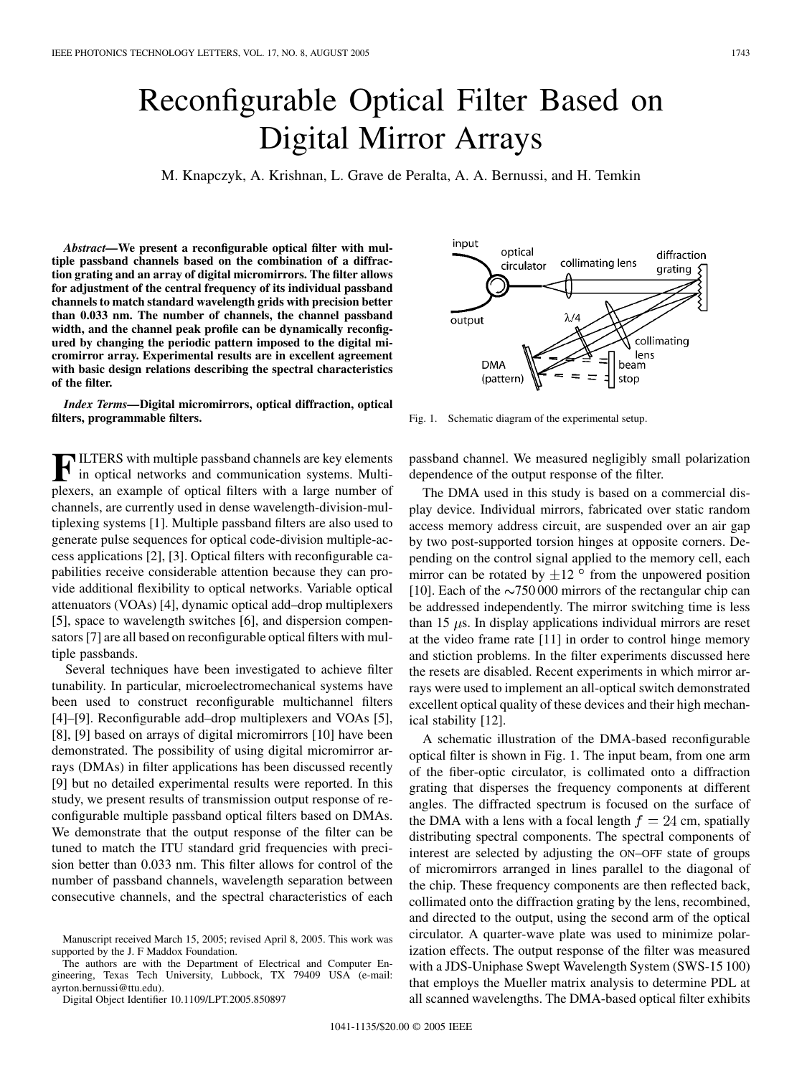## Reconfigurable Optical Filter Based on Digital Mirror Arrays

M. Knapczyk, A. Krishnan, L. Grave de Peralta, A. A. Bernussi, and H. Temkin

*Abstract—***We present a reconfigurable optical filter with multiple passband channels based on the combination of a diffraction grating and an array of digital micromirrors. The filter allows for adjustment of the central frequency of its individual passband channels to match standard wavelength grids with precision better than 0.033 nm. The number of channels, the channel passband width, and the channel peak profile can be dynamically reconfigured by changing the periodic pattern imposed to the digital micromirror array. Experimental results are in excellent agreement with basic design relations describing the spectral characteristics of the filter.**

*Index Terms—***Digital micromirrors, optical diffraction, optical filters, programmable filters.**

**F** ILTERS with multiple passband channels are key elements in optical networks and communication systems. Multiplexers, an example of optical filters with a large number of ILTERS with multiple passband channels are key elements in optical networks and communication systems. Multichannels, are currently used in dense wavelength-division-multiplexing systems [1]. Multiple passband filters are also used to generate pulse sequences for optical code-division multiple-access applications [2], [3]. Optical filters with reconfigurable capabilities receive considerable attention because they can provide additional flexibility to optical networks. Variable optical attenuators (VOAs) [4], dynamic optical add–drop multiplexers [5], space to wavelength switches [6], and dispersion compensators [7] are all based on reconfigurable optical filters with multiple passbands.

Several techniques have been investigated to achieve filter tunability. In particular, microelectromechanical systems have been used to construct reconfigurable multichannel filters [4]–[9]. Reconfigurable add–drop multiplexers and VOAs [5], [8], [9] based on arrays of digital micromirrors [10] have been demonstrated. The possibility of using digital micromirror arrays (DMAs) in filter applications has been discussed recently [9] but no detailed experimental results were reported. In this study, we present results of transmission output response of reconfigurable multiple passband optical filters based on DMAs. We demonstrate that the output response of the filter can be tuned to match the ITU standard grid frequencies with precision better than 0.033 nm. This filter allows for control of the number of passband channels, wavelength separation between consecutive channels, and the spectral characteristics of each

The authors are with the Department of Electrical and Computer Engineering, Texas Tech University, Lubbock, TX 79409 USA (e-mail: ayrton.bernussi@ttu.edu).

Digital Object Identifier 10.1109/LPT.2005.850897



Fig. 1. Schematic diagram of the experimental setup.

passband channel. We measured negligibly small polarization dependence of the output response of the filter.

The DMA used in this study is based on a commercial display device. Individual mirrors, fabricated over static random access memory address circuit, are suspended over an air gap by two post-supported torsion hinges at opposite corners. Depending on the control signal applied to the memory cell, each mirror can be rotated by  $\pm 12$  ° from the unpowered position [10]. Each of the  $\sim$ 750 000 mirrors of the rectangular chip can be addressed independently. The mirror switching time is less than 15  $\mu$ s. In display applications individual mirrors are reset at the video frame rate [11] in order to control hinge memory and stiction problems. In the filter experiments discussed here the resets are disabled. Recent experiments in which mirror arrays were used to implement an all-optical switch demonstrated excellent optical quality of these devices and their high mechanical stability [12].

A schematic illustration of the DMA-based reconfigurable optical filter is shown in Fig. 1. The input beam, from one arm of the fiber-optic circulator, is collimated onto a diffraction grating that disperses the frequency components at different angles. The diffracted spectrum is focused on the surface of the DMA with a lens with a focal length  $f = 24$  cm, spatially distributing spectral components. The spectral components of interest are selected by adjusting the ON–OFF state of groups of micromirrors arranged in lines parallel to the diagonal of the chip. These frequency components are then reflected back, collimated onto the diffraction grating by the lens, recombined, and directed to the output, using the second arm of the optical circulator. A quarter-wave plate was used to minimize polarization effects. The output response of the filter was measured with a JDS-Uniphase Swept Wavelength System (SWS-15 100) that employs the Mueller matrix analysis to determine PDL at all scanned wavelengths. The DMA-based optical filter exhibits

Manuscript received March 15, 2005; revised April 8, 2005. This work was supported by the J. F Maddox Foundation.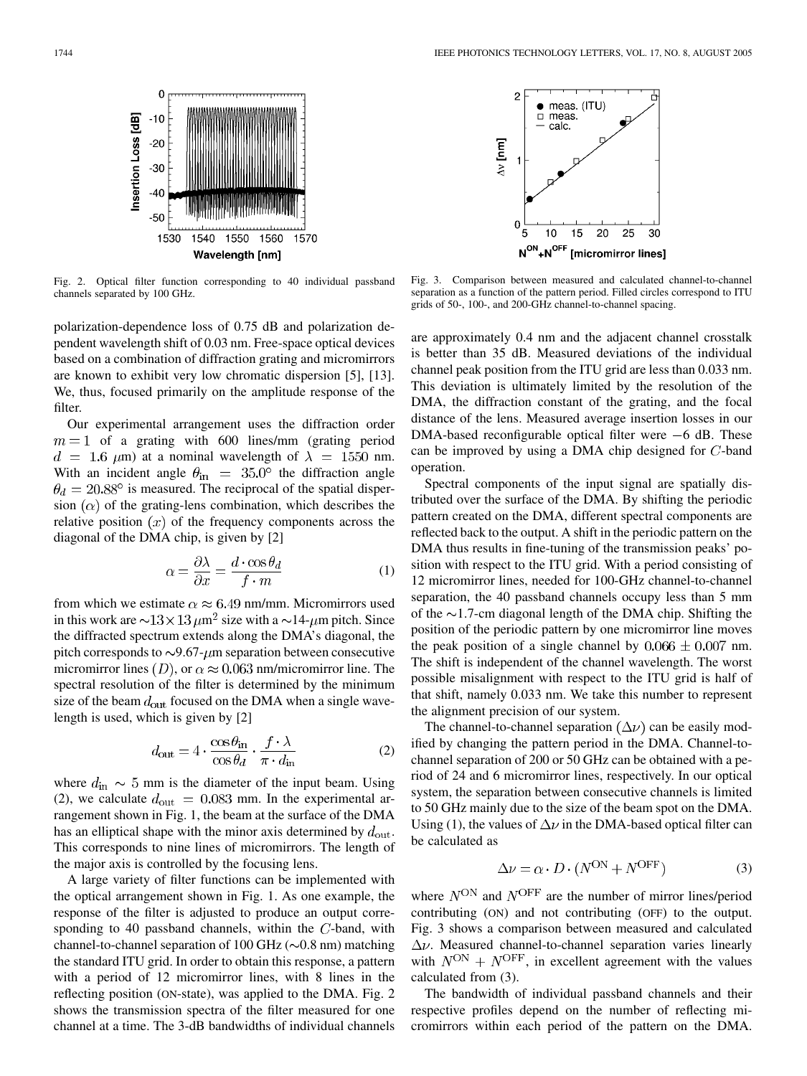$\bullet$  meas. (ITU)<br> $\Box$  meas.

calc.

 $\mathcal{P}$ 

 $\Omega$ 5  $10$ 15 20 25 30

 $\Delta v$  [nm]

 $\mathbf 0$ Insertion Loss [dB]  $-10$  $-20$  $-30$  $-40$ -50 1530 1540 1550 1560 1570 Wavelength [nm]

Fig. 2. Optical filter function corresponding to 40 individual passband channels separated by 100 GHz.

polarization-dependence loss of 0.75 dB and polarization dependent wavelength shift of 0.03 nm. Free-space optical devices based on a combination of diffraction grating and micromirrors are known to exhibit very low chromatic dispersion [5], [13]. We, thus, focused primarily on the amplitude response of the filter.

Our experimental arrangement uses the diffraction order  $m = 1$  of a grating with 600 lines/mm (grating period  $d = 1.6 \mu m$ ) at a nominal wavelength of  $\lambda = 1550 \text{ nm}$ . With an incident angle  $\theta_{\text{in}}$  = 35.0° the diffraction angle  $\theta_d = 20.88^\circ$  is measured. The reciprocal of the spatial dispersion  $(\alpha)$  of the grating-lens combination, which describes the relative position  $(x)$  of the frequency components across the diagonal of the DMA chip, is given by [2]

$$
\alpha = \frac{\partial \lambda}{\partial x} = \frac{d \cdot \cos \theta_d}{f \cdot m} \tag{1}
$$

from which we estimate  $\alpha \approx 6.49$  nm/mm. Micromirrors used in this work are  $\sim$ 13  $\times$  13  $\mu$ m<sup>2</sup> size with a  $\sim$ 14- $\mu$ m pitch. Since the diffracted spectrum extends along the DMA's diagonal, the pitch corresponds to  $\sim$ 9.67- $\mu$ m separation between consecutive micromirror lines (D), or  $\alpha \approx 0.063$  nm/micromirror line. The spectral resolution of the filter is determined by the minimum size of the beam  $d_{\text{out}}$  focused on the DMA when a single wavelength is used, which is given by [2]

$$
d_{\text{out}} = 4 \cdot \frac{\cos \theta_{\text{in}}}{\cos \theta_d} \cdot \frac{f \cdot \lambda}{\pi \cdot d_{\text{in}}} \tag{2}
$$

where  $d_{\text{in}} \sim 5$  mm is the diameter of the input beam. Using (2), we calculate  $d_{\text{out}} = 0.083$  mm. In the experimental arrangement shown in Fig. 1, the beam at the surface of the DMA has an elliptical shape with the minor axis determined by  $d_{\text{out}}$ . This corresponds to nine lines of micromirrors. The length of the major axis is controlled by the focusing lens.

A large variety of filter functions can be implemented with the optical arrangement shown in Fig. 1. As one example, the response of the filter is adjusted to produce an output corresponding to 40 passband channels, within the  $C$ -band, with channel-to-channel separation of 100 GHz ( $\sim$ 0.8 nm) matching the standard ITU grid. In order to obtain this response, a pattern with a period of 12 micromirror lines, with 8 lines in the reflecting position (ON-state), was applied to the DMA. Fig. 2 shows the transmission spectra of the filter measured for one channel at a time. The 3-dB bandwidths of individual channels



 $\textsf{N}^\textsf{ON}{\textsf{+N}}^\textsf{OFF}$  [micromirror lines]

are approximately 0.4 nm and the adjacent channel crosstalk is better than 35 dB. Measured deviations of the individual channel peak position from the ITU grid are less than 0.033 nm. This deviation is ultimately limited by the resolution of the DMA, the diffraction constant of the grating, and the focal distance of the lens. Measured average insertion losses in our DMA-based reconfigurable optical filter were  $-6$  dB. These can be improved by using a DMA chip designed for  $C$ -band operation.

Spectral components of the input signal are spatially distributed over the surface of the DMA. By shifting the periodic pattern created on the DMA, different spectral components are reflected back to the output. A shift in the periodic pattern on the DMA thus results in fine-tuning of the transmission peaks' position with respect to the ITU grid. With a period consisting of 12 micromirror lines, needed for 100-GHz channel-to-channel separation, the 40 passband channels occupy less than 5 mm of the  $\sim$ 1.7-cm diagonal length of the DMA chip. Shifting the position of the periodic pattern by one micromirror line moves the peak position of a single channel by  $0.066 \pm 0.007$  nm. The shift is independent of the channel wavelength. The worst possible misalignment with respect to the ITU grid is half of that shift, namely 0.033 nm. We take this number to represent the alignment precision of our system.

The channel-to-channel separation  $(\Delta \nu)$  can be easily modified by changing the pattern period in the DMA. Channel-tochannel separation of 200 or 50 GHz can be obtained with a period of 24 and 6 micromirror lines, respectively. In our optical system, the separation between consecutive channels is limited to 50 GHz mainly due to the size of the beam spot on the DMA. Using (1), the values of  $\Delta \nu$  in the DMA-based optical filter can be calculated as

$$
\Delta \nu = \alpha \cdot D \cdot (N^{\text{ON}} + N^{\text{OFF}})
$$
 (3)

where  $N^{ON}$  and  $N^{OFF}$  are the number of mirror lines/period contributing (ON) and not contributing (OFF) to the output. Fig. 3 shows a comparison between measured and calculated  $\Delta \nu$ . Measured channel-to-channel separation varies linearly with  $N^{ON} + N^{OFF}$ , in excellent agreement with the values calculated from (3).

The bandwidth of individual passband channels and their respective profiles depend on the number of reflecting micromirrors within each period of the pattern on the DMA.